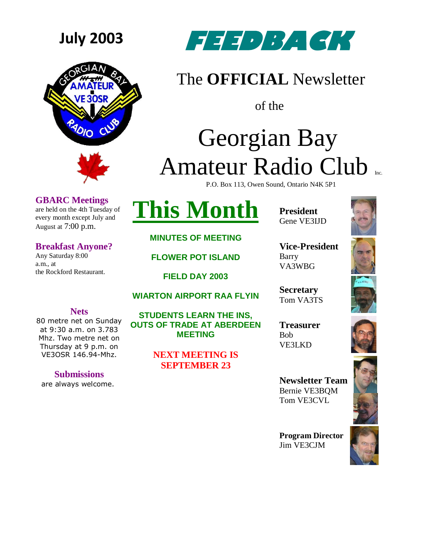



#### **GBARC Meetings**

are held on the 4th Tuesday of every month except July and August at 7:00 p.m.

#### **Breakfast Anyone?**

Any Saturday 8:00 a.m., at the Rockford Restaurant.



## The **OFFICIAL** Newsletter

of the

# Georgian Bay Amateur Radio Club

P.O. Box 113, Owen Sound, Ontario N4K 5P1

# **This Month**

**MINUTES OF MEETING**

**FLOWER POT ISLAND**

**FIELD DAY 2003**

**WIARTON AIRPORT RAA FLYIN**

**President** Gene VE3IJD

**Vice-President** Barry VA3WBG

**Secretary** Tom VA3TS

**Treasurer** Bob VE3LKD

**Newsletter Team**  Bernie VE3BQM Tom VE3CVL

**Program Director** Jim VE3CJM







### **Nets**

80 metre net on Sunday at 9:30 a.m. on 3.783 Mhz. Two metre net on Thursday at 9 p.m. on VE3OSR 146.94-Mhz.

### **Submissions**

are always welcome.

**STUDENTS LEARN THE INS, OUTS OF TRADE AT ABERDEEN MEETING**

> **NEXT MEETING IS SEPTEMBER 23**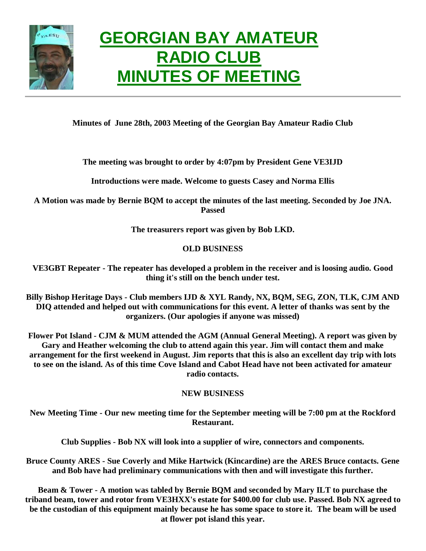

## **GEORGIAN BAY AMATEUR RADIO CLUB MINUTES OF MEETING**

#### **Minutes of June 28th, 2003 Meeting of the Georgian Bay Amateur Radio Club**

**The meeting was brought to order by 4:07pm by President Gene VE3IJD**

**Introductions were made. Welcome to guests Casey and Norma Ellis**

**A Motion was made by Bernie BQM to accept the minutes of the last meeting. Seconded by Joe JNA. Passed**

**The treasurers report was given by Bob LKD.** 

#### **OLD BUSINESS**

**VE3GBT Repeater - The repeater has developed a problem in the receiver and is loosing audio. Good thing it's still on the bench under test.**

**Billy Bishop Heritage Days - Club members IJD & XYL Randy, NX, BQM, SEG, ZON, TLK, CJM AND DIQ attended and helped out with communications for this event. A letter of thanks was sent by the organizers. (Our apologies if anyone was missed)**

**Flower Pot Island - CJM & MUM attended the AGM (Annual General Meeting). A report was given by Gary and Heather welcoming the club to attend again this year. Jim will contact them and make arrangement for the first weekend in August. Jim reports that this is also an excellent day trip with lots to see on the island. As of this time Cove Island and Cabot Head have not been activated for amateur radio contacts.**

#### **NEW BUSINESS**

**New Meeting Time - Our new meeting time for the September meeting will be 7:00 pm at the Rockford Restaurant.**

**Club Supplies - Bob NX will look into a supplier of wire, connectors and components.**

**Bruce County ARES - Sue Coverly and Mike Hartwick (Kincardine) are the ARES Bruce contacts. Gene and Bob have had preliminary communications with then and will investigate this further.**

**Beam & Tower - A motion was tabled by Bernie BQM and seconded by Mary ILT to purchase the triband beam, tower and rotor from VE3HXX's estate for \$400.00 for club use. Passed. Bob NX agreed to be the custodian of this equipment mainly because he has some space to store it. The beam will be used at flower pot island this year.**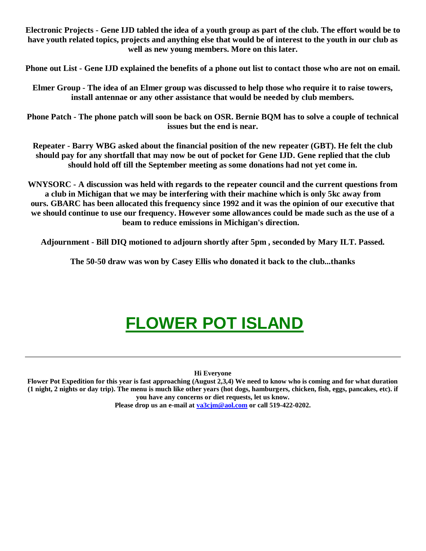**Electronic Projects - Gene IJD tabled the idea of a youth group as part of the club. The effort would be to have youth related topics, projects and anything else that would be of interest to the youth in our club as well as new young members. More on this later.**

**Phone out List - Gene IJD explained the benefits of a phone out list to contact those who are not on email.**

**Elmer Group - The idea of an Elmer group was discussed to help those who require it to raise towers, install antennae or any other assistance that would be needed by club members.**

**Phone Patch - The phone patch will soon be back on OSR. Bernie BQM has to solve a couple of technical issues but the end is near.**

**Repeater - Barry WBG asked about the financial position of the new repeater (GBT). He felt the club should pay for any shortfall that may now be out of pocket for Gene IJD. Gene replied that the club should hold off till the September meeting as some donations had not yet come in.**

**WNYSORC - A discussion was held with regards to the repeater council and the current questions from a club in Michigan that we may be interfering with their machine which is only 5kc away from ours. GBARC has been allocated this frequency since 1992 and it was the opinion of our executive that we should continue to use our frequency. However some allowances could be made such as the use of a beam to reduce emissions in Michigan's direction.** 

**Adjournment - Bill DIQ motioned to adjourn shortly after 5pm , seconded by Mary ILT. Passed.**

**The 50-50 draw was won by Casey Ellis who donated it back to the club...thanks**

# **FLOWER POT ISLAND**

**Hi Everyone**

**Flower Pot Expedition for this year is fast approaching (August 2,3,4) We need to know who is coming and for what duration (1 night, 2 nights or day trip). The menu is much like other years (hot dogs, hamburgers, chicken, fish, eggs, pancakes, etc). if you have any concerns or diet requests, let us know.**

**Please drop us an e-mail at va3cjm@aol.com or call 519-422-0202.**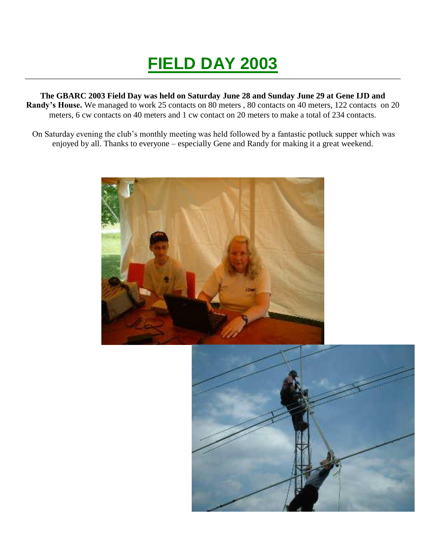# **FIELD DAY 2003**

**The GBARC 2003 Field Day was held on Saturday June 28 and Sunday June 29 at Gene IJD and Randy's House.** We managed to work 25 contacts on 80 meters , 80 contacts on 40 meters, 122 contacts on 20 meters, 6 cw contacts on 40 meters and 1 cw contact on 20 meters to make a total of 234 contacts.

On Saturday evening the club's monthly meeting was held followed by a fantastic potluck supper which was enjoyed by all. Thanks to everyone – especially Gene and Randy for making it a great weekend.



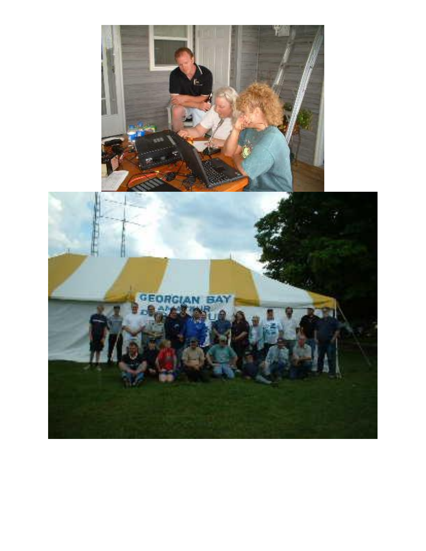

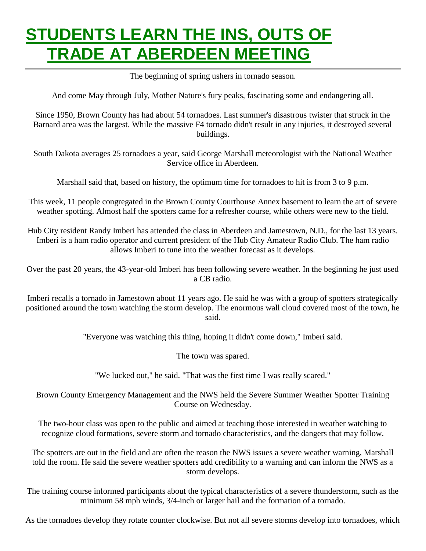# **STUDENTS LEARN THE INS, OUTS OF TRADE AT ABERDEEN MEETING**

The beginning of spring ushers in tornado season.

And come May through July, Mother Nature's fury peaks, fascinating some and endangering all.

Since 1950, Brown County has had about 54 tornadoes. Last summer's disastrous twister that struck in the Barnard area was the largest. While the massive F4 tornado didn't result in any injuries, it destroyed several buildings.

South Dakota averages 25 tornadoes a year, said George Marshall meteorologist with the National Weather Service office in Aberdeen.

Marshall said that, based on history, the optimum time for tornadoes to hit is from 3 to 9 p.m.

This week, 11 people congregated in the Brown County Courthouse Annex basement to learn the art of severe weather spotting. Almost half the spotters came for a refresher course, while others were new to the field.

Hub City resident Randy Imberi has attended the class in Aberdeen and Jamestown, N.D., for the last 13 years. Imberi is a ham radio operator and current president of the Hub City Amateur Radio Club. The ham radio allows Imberi to tune into the weather forecast as it develops.

Over the past 20 years, the 43-year-old Imberi has been following severe weather. In the beginning he just used a CB radio.

Imberi recalls a tornado in Jamestown about 11 years ago. He said he was with a group of spotters strategically positioned around the town watching the storm develop. The enormous wall cloud covered most of the town, he said.

"Everyone was watching this thing, hoping it didn't come down," Imberi said.

The town was spared.

"We lucked out," he said. "That was the first time I was really scared."

Brown County Emergency Management and the NWS held the Severe Summer Weather Spotter Training Course on Wednesday.

The two-hour class was open to the public and aimed at teaching those interested in weather watching to recognize cloud formations, severe storm and tornado characteristics, and the dangers that may follow.

The spotters are out in the field and are often the reason the NWS issues a severe weather warning, Marshall told the room. He said the severe weather spotters add credibility to a warning and can inform the NWS as a storm develops.

The training course informed participants about the typical characteristics of a severe thunderstorm, such as the minimum 58 mph winds, 3/4-inch or larger hail and the formation of a tornado.

As the tornadoes develop they rotate counter clockwise. But not all severe storms develop into tornadoes, which